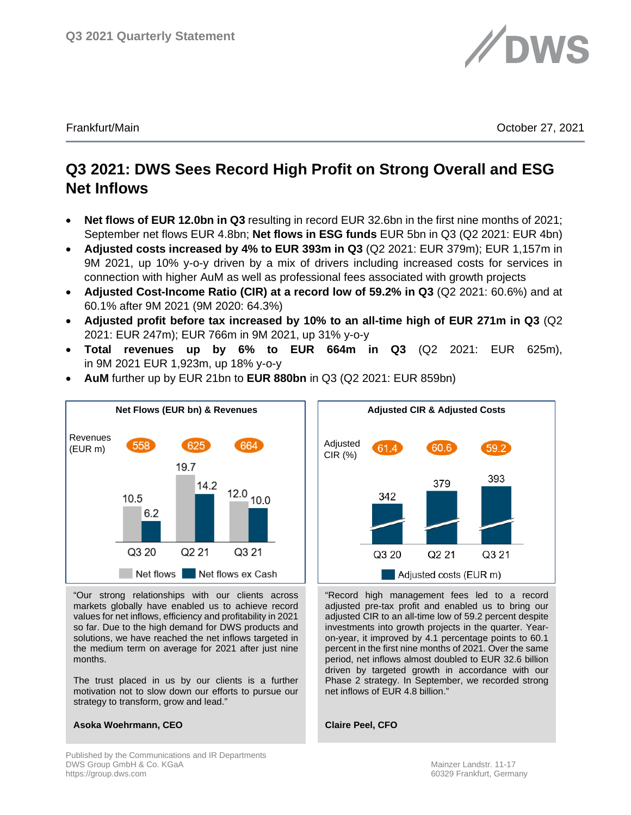

Frankfurt/Main October 27, 2021

# **Q3 2021: DWS Sees Record High Profit on Strong Overall and ESG Net Inflows**

- **Net flows of EUR 12.0bn in Q3** resulting in record EUR 32.6bn in the first nine months of 2021; September net flows EUR 4.8bn; **Net flows in ESG funds** EUR 5bn in Q3 (Q2 2021: EUR 4bn)
- **Adjusted costs increased by 4% to EUR 393m in Q3** (Q2 2021: EUR 379m); EUR 1,157m in 9M 2021, up 10% y-o-y driven by a mix of drivers including increased costs for services in connection with higher AuM as well as professional fees associated with growth projects
- **Adjusted Cost-Income Ratio (CIR) at a record low of 59.2% in Q3** (Q2 2021: 60.6%) and at 60.1% after 9M 2021 (9M 2020: 64.3%)
- **Adjusted profit before tax increased by 10% to an all-time high of EUR 271m in Q3** (Q2 2021: EUR 247m); EUR 766m in 9M 2021, up 31% y-o-y
- **Total revenues up by 6% to EUR 664m in Q3** (Q2 2021: EUR 625m), in 9M 2021 EUR 1,923m, up 18% y-o-y



• **AuM** further up by EUR 21bn to **EUR 880bn** in Q3 (Q2 2021: EUR 859bn)

"Our strong relationships with our clients across markets globally have enabled us to achieve record values for net inflows, efficiency and profitability in 2021 so far. Due to the high demand for DWS products and solutions, we have reached the net inflows targeted in the medium term on average for 2021 after just nine months.

The trust placed in us by our clients is a further motivation not to slow down our efforts to pursue our strategy to transform, grow and lead."

## **Asoka Woehrmann, CEO**



"Record high management fees led to a record adjusted pre-tax profit and enabled us to bring our adjusted CIR to an all-time low of 59.2 percent despite investments into growth projects in the quarter. Yearon-year, it improved by 4.1 percentage points to 60.1 percent in the first nine months of 2021. Over the same period, net inflows almost doubled to EUR 32.6 billion driven by targeted growth in accordance with our Phase 2 strategy. In September, we recorded strong net inflows of EUR 4.8 billion."

**Claire Peel, CFO**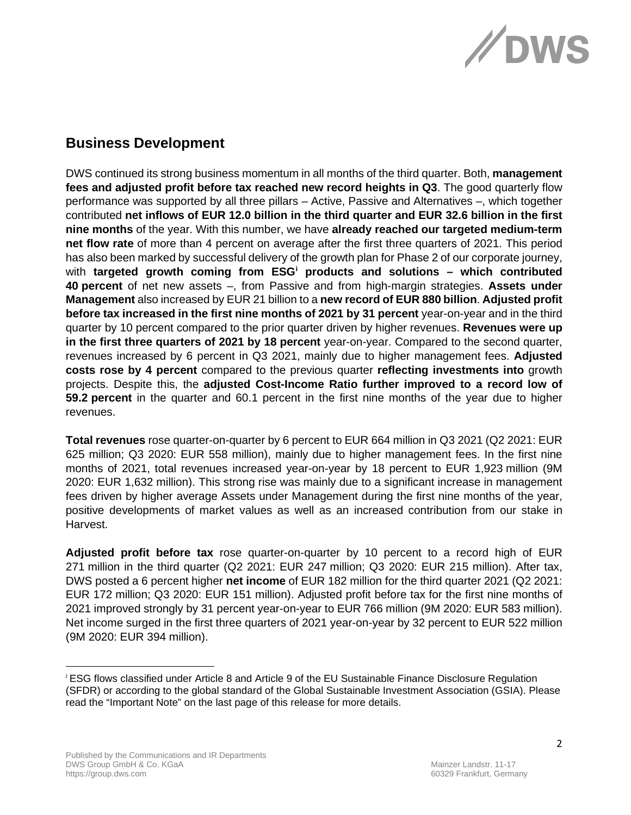

# **Business Development**

DWS continued its strong business momentum in all months of the third quarter. Both, **management fees and adjusted profit before tax reached new record heights in Q3**. The good quarterly flow performance was supported by all three pillars – Active, Passive and Alternatives –, which together contributed **net inflows of EUR 12.0 billion in the third quarter and EUR 32.6 billion in the first nine months** of the year. With this number, we have **already reached our targeted medium-term net flow rate** of more than 4 percent on average after the first three quarters of 2021. This period has also been marked by successful delivery of the growth plan for Phase 2 of our corporate journey, with **targeted growth coming from ESG[i](#page-1-0) products and solutions – which contributed 40 percent** of net new assets –, from Passive and from high-margin strategies. **Assets under Management** also increased by EUR 21 billion to a **new record of EUR 880 billion**. **Adjusted profit before tax increased in the first nine months of 2021 by 31 percent** year-on-year and in the third quarter by 10 percent compared to the prior quarter driven by higher revenues. **Revenues were up in the first three quarters of 2021 by 18 percent** year-on-year. Compared to the second quarter, revenues increased by 6 percent in Q3 2021, mainly due to higher management fees. **Adjusted costs rose by 4 percent** compared to the previous quarter **reflecting investments into** growth projects. Despite this, the **adjusted Cost-Income Ratio further improved to a record low of 59.2 percent** in the quarter and 60.1 percent in the first nine months of the year due to higher revenues.

**Total revenues** rose quarter-on-quarter by 6 percent to EUR 664 million in Q3 2021 (Q2 2021: EUR 625 million; Q3 2020: EUR 558 million), mainly due to higher management fees. In the first nine months of 2021, total revenues increased year-on-year by 18 percent to EUR 1,923 million (9M 2020: EUR 1,632 million). This strong rise was mainly due to a significant increase in management fees driven by higher average Assets under Management during the first nine months of the year, positive developments of market values as well as an increased contribution from our stake in Harvest.

**Adjusted profit before tax** rose quarter-on-quarter by 10 percent to a record high of EUR 271 million in the third quarter (Q2 2021: EUR 247 million; Q3 2020: EUR 215 million). After tax, DWS posted a 6 percent higher **net income** of EUR 182 million for the third quarter 2021 (Q2 2021: EUR 172 million; Q3 2020: EUR 151 million). Adjusted profit before tax for the first nine months of 2021 improved strongly by 31 percent year-on-year to EUR 766 million (9M 2020: EUR 583 million). Net income surged in the first three quarters of 2021 year-on-year by 32 percent to EUR 522 million (9M 2020: EUR 394 million).

<span id="page-1-0"></span><sup>i</sup> ESG flows classified under Article 8 and Article 9 of the EU Sustainable Finance Disclosure Regulation (SFDR) or according to the global standard of the Global Sustainable Investment Association (GSIA). Please read the "Important Note" on the last page of this release for more details.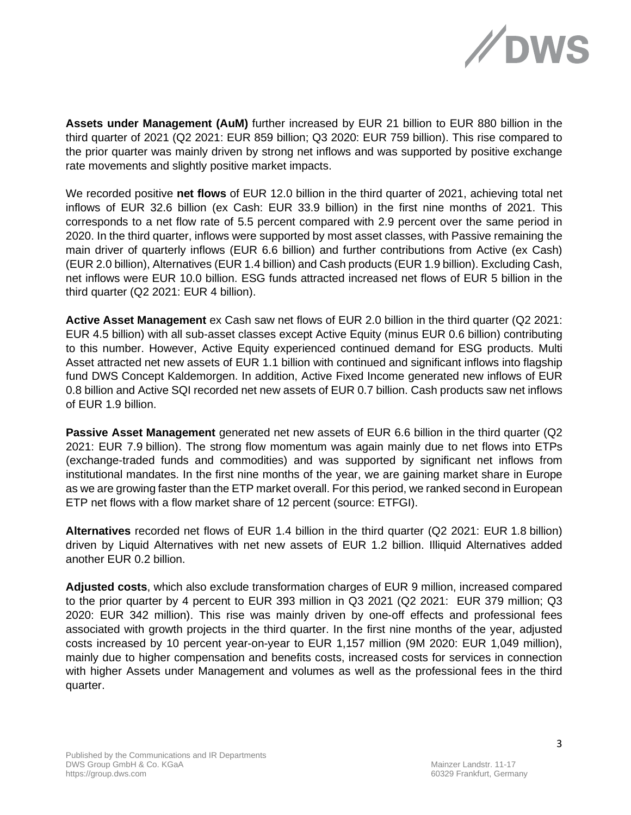

**Assets under Management (AuM)** further increased by EUR 21 billion to EUR 880 billion in the third quarter of 2021 (Q2 2021: EUR 859 billion; Q3 2020: EUR 759 billion). This rise compared to the prior quarter was mainly driven by strong net inflows and was supported by positive exchange rate movements and slightly positive market impacts.

We recorded positive **net flows** of EUR 12.0 billion in the third quarter of 2021, achieving total net inflows of EUR 32.6 billion (ex Cash: EUR 33.9 billion) in the first nine months of 2021. This corresponds to a net flow rate of 5.5 percent compared with 2.9 percent over the same period in 2020. In the third quarter, inflows were supported by most asset classes, with Passive remaining the main driver of quarterly inflows (EUR 6.6 billion) and further contributions from Active (ex Cash) (EUR 2.0 billion), Alternatives (EUR 1.4 billion) and Cash products (EUR 1.9 billion). Excluding Cash, net inflows were EUR 10.0 billion. ESG funds attracted increased net flows of EUR 5 billion in the third quarter (Q2 2021: EUR 4 billion).

**Active Asset Management** ex Cash saw net flows of EUR 2.0 billion in the third quarter (Q2 2021: EUR 4.5 billion) with all sub-asset classes except Active Equity (minus EUR 0.6 billion) contributing to this number. However, Active Equity experienced continued demand for ESG products. Multi Asset attracted net new assets of EUR 1.1 billion with continued and significant inflows into flagship fund DWS Concept Kaldemorgen. In addition, Active Fixed Income generated new inflows of EUR 0.8 billion and Active SQI recorded net new assets of EUR 0.7 billion. Cash products saw net inflows of EUR 1.9 billion.

**Passive Asset Management** generated net new assets of EUR 6.6 billion in the third quarter (Q2 2021: EUR 7.9 billion). The strong flow momentum was again mainly due to net flows into ETPs (exchange-traded funds and commodities) and was supported by significant net inflows from institutional mandates. In the first nine months of the year, we are gaining market share in Europe as we are growing faster than the ETP market overall. For this period, we ranked second in European ETP net flows with a flow market share of 12 percent (source: ETFGI).

**Alternatives** recorded net flows of EUR 1.4 billion in the third quarter (Q2 2021: EUR 1.8 billion) driven by Liquid Alternatives with net new assets of EUR 1.2 billion. Illiquid Alternatives added another EUR 0.2 billion.

**Adjusted costs**, which also exclude transformation charges of EUR 9 million, increased compared to the prior quarter by 4 percent to EUR 393 million in Q3 2021 (Q2 2021: EUR 379 million; Q3 2020: EUR 342 million). This rise was mainly driven by one-off effects and professional fees associated with growth projects in the third quarter. In the first nine months of the year, adjusted costs increased by 10 percent year-on-year to EUR 1,157 million (9M 2020: EUR 1,049 million), mainly due to higher compensation and benefits costs, increased costs for services in connection with higher Assets under Management and volumes as well as the professional fees in the third quarter.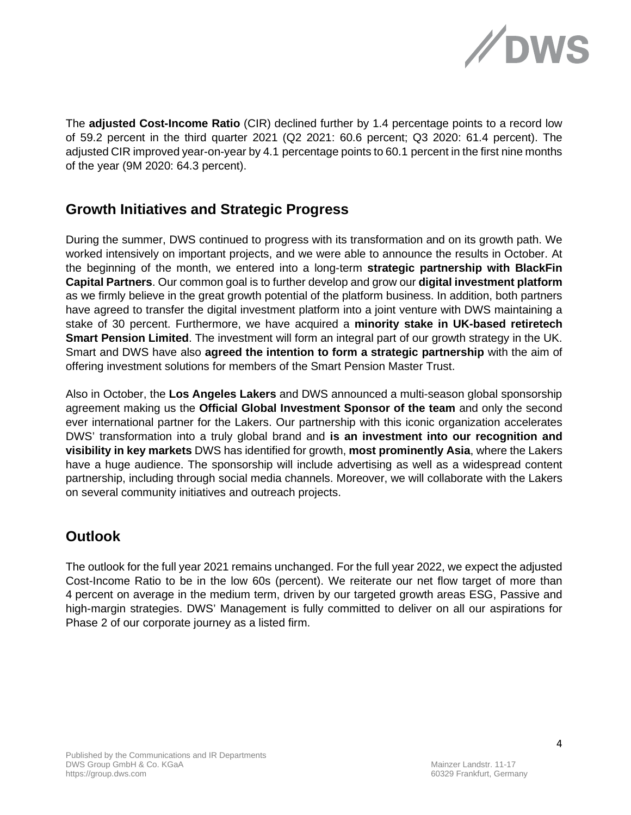

The **adjusted Cost-Income Ratio** (CIR) declined further by 1.4 percentage points to a record low of 59.2 percent in the third quarter 2021 (Q2 2021: 60.6 percent; Q3 2020: 61.4 percent). The adjusted CIR improved year-on-year by 4.1 percentage points to 60.1 percent in the first nine months of the year (9M 2020: 64.3 percent).

## **Growth Initiatives and Strategic Progress**

During the summer, DWS continued to progress with its transformation and on its growth path. We worked intensively on important projects, and we were able to announce the results in October. At the beginning of the month, we entered into a long-term **strategic partnership with BlackFin Capital Partners**. Our common goal is to further develop and grow our **digital investment platform** as we firmly believe in the great growth potential of the platform business. In addition, both partners have agreed to transfer the digital investment platform into a joint venture with DWS maintaining a stake of 30 percent. Furthermore, we have acquired a **minority stake in UK-based retiretech Smart Pension Limited**. The investment will form an integral part of our growth strategy in the UK. Smart and DWS have also **agreed the intention to form a strategic partnership** with the aim of offering investment solutions for members of the Smart Pension Master Trust.

Also in October, the **Los Angeles Lakers** and DWS announced a multi-season global sponsorship agreement making us the **Official Global Investment Sponsor of the team** and only the second ever international partner for the Lakers. Our partnership with this iconic organization accelerates DWS' transformation into a truly global brand and **is an investment into our recognition and visibility in key markets** DWS has identified for growth, **most prominently Asia**, where the Lakers have a huge audience. The sponsorship will include advertising as well as a widespread content partnership, including through social media channels. Moreover, we will collaborate with the Lakers on several community initiatives and outreach projects.

## **Outlook**

The outlook for the full year 2021 remains unchanged. For the full year 2022, we expect the adjusted Cost-Income Ratio to be in the low 60s (percent). We reiterate our net flow target of more than 4 percent on average in the medium term, driven by our targeted growth areas ESG, Passive and high-margin strategies. DWS' Management is fully committed to deliver on all our aspirations for Phase 2 of our corporate journey as a listed firm.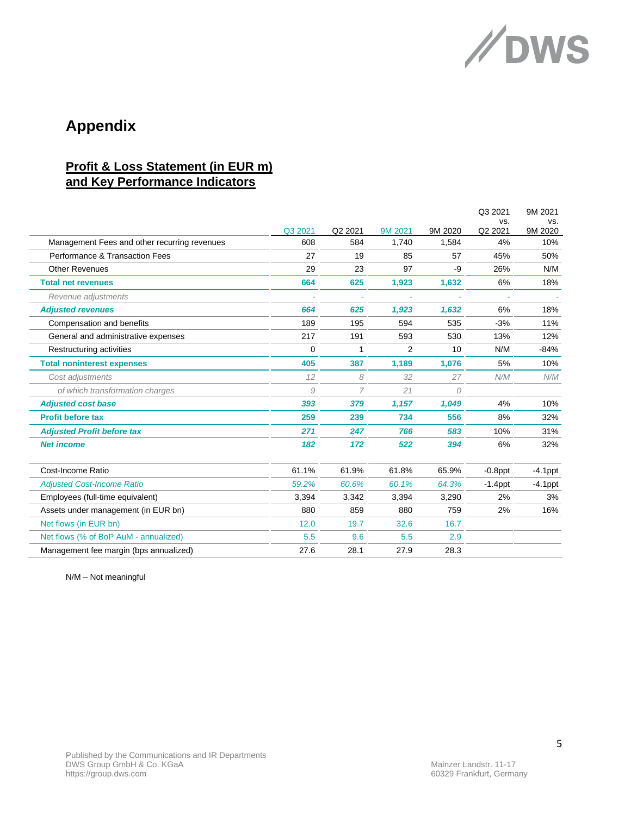

# **Appendix**

## **Profit & Loss Statement (in EUR m) and Key Performance Indicators**

|                                              |          |         |         |          | Q3 2021        | 9M 2021        |
|----------------------------------------------|----------|---------|---------|----------|----------------|----------------|
|                                              | Q3 2021  | Q2 2021 | 9M 2021 | 9M 2020  | VS.<br>Q2 2021 | VS.<br>9M 2020 |
| Management Fees and other recurring revenues | 608      | 584     | 1,740   | 1,584    | 4%             | 10%            |
| Performance & Transaction Fees               | 27       | 19      | 85      | 57       | 45%            | 50%            |
| <b>Other Revenues</b>                        | 29       | 23      | 97      | -9       | 26%            | N/M            |
| <b>Total net revenues</b>                    | 664      | 625     | 1,923   | 1,632    | 6%             | 18%            |
| Revenue adjustments                          |          |         |         |          |                |                |
| <b>Adjusted revenues</b>                     | 664      | 625     | 1,923   | 1,632    | 6%             | 18%            |
| Compensation and benefits                    | 189      | 195     | 594     | 535      | $-3%$          | 11%            |
| General and administrative expenses          | 217      | 191     | 593     | 530      | 13%            | 12%            |
| Restructuring activities                     | $\Omega$ | 1       | 2       | 10       | N/M            | $-84%$         |
| <b>Total noninterest expenses</b>            | 405      | 387     | 1,189   | 1,076    | 5%             | 10%            |
| Cost adjustments                             | 12       | 8       | 32      | 27       | N/M            | N/M            |
| of which transformation charges              | 9        | 7       | 21      | $\Omega$ |                |                |
| <b>Adjusted cost base</b>                    | 393      | 379     | 1,157   | 1,049    | 4%             | 10%            |
| <b>Profit before tax</b>                     | 259      | 239     | 734     | 556      | 8%             | 32%            |
| <b>Adjusted Profit before tax</b>            | 271      | 247     | 766     | 583      | 10%            | 31%            |
| <b>Net income</b>                            | 182      | 172     | 522     | 394      | 6%             | 32%            |
| Cost-Income Ratio                            | 61.1%    | 61.9%   | 61.8%   | 65.9%    | $-0.8$ ppt     | $-4.1$ ppt     |
| <b>Adjusted Cost-Income Ratio</b>            | 59.2%    | 60.6%   | 60.1%   | 64.3%    | $-1.4$ ppt     | $-4.1$ ppt     |
| Employees (full-time equivalent)             | 3,394    | 3,342   | 3,394   | 3,290    | 2%             | 3%             |
| Assets under management (in EUR bn)          | 880      | 859     | 880     | 759      | 2%             | 16%            |
| Net flows (in EUR bn)                        | 12.0     | 19.7    | 32.6    | 16.7     |                |                |
| Net flows (% of BoP AuM - annualized)        | 5.5      | 9.6     | 5.5     | 2.9      |                |                |
| Management fee margin (bps annualized)       | 27.6     | 28.1    | 27.9    | 28.3     |                |                |

N/M – Not meaningful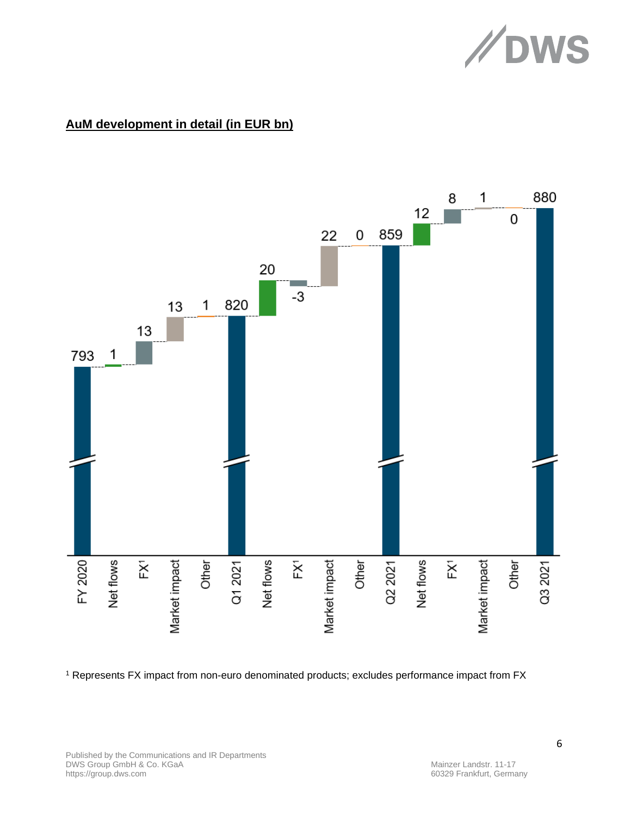

## **AuM development in detail (in EUR bn)**



<sup>1</sup> Represents FX impact from non-euro denominated products; excludes performance impact from FX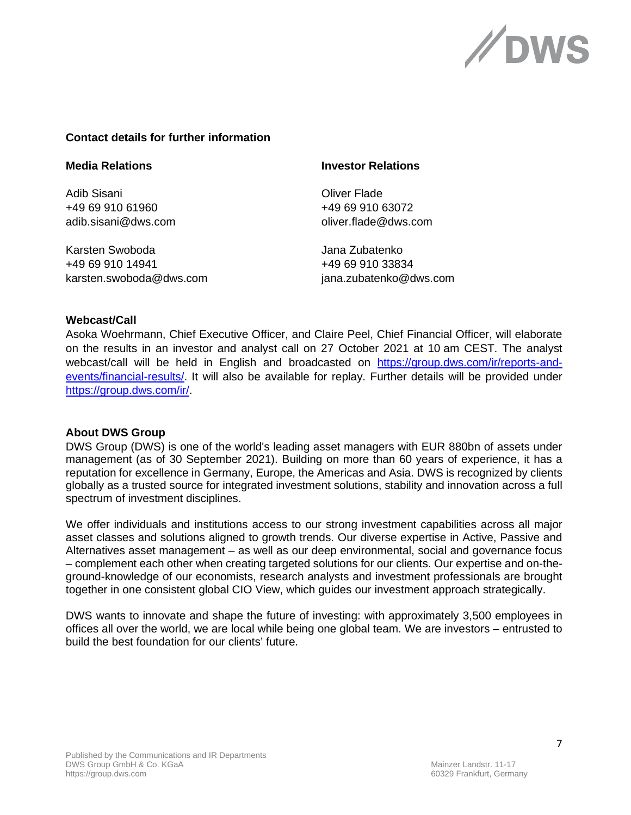

### **Contact details for further information**

Adib Sisani Oliver Flade +49 69 910 61960 +49 69 910 63072

Karsten Swoboda Jana Zubatenko +49 69 910 14941 +49 69 910 33834 karsten.swoboda@dws.com jana.zubatenko@dws.com

#### **Media Relations Investor Relations**

adib.sisani@dws.com oliver.flade@dws.com

#### **Webcast/Call**

Asoka Woehrmann, Chief Executive Officer, and Claire Peel, Chief Financial Officer, will elaborate on the results in an investor and analyst call on 27 October 2021 at 10 am CEST. The analyst webcast/call will be held in English and broadcasted on [https://group.dws.com/ir/reports-and](https://group.dws.com/ir/reports-and-events/financial-results/)[events/financial-results/.](https://group.dws.com/ir/reports-and-events/financial-results/) It will also be available for replay. Further details will be provided under [https://group.dws.com/ir/.](https://group.dws.com/ir/)

#### **About DWS Group**

DWS Group (DWS) is one of the world's leading asset managers with EUR 880bn of assets under management (as of 30 September 2021). Building on more than 60 years of experience, it has a reputation for excellence in Germany, Europe, the Americas and Asia. DWS is recognized by clients globally as a trusted source for integrated investment solutions, stability and innovation across a full spectrum of investment disciplines.

We offer individuals and institutions access to our strong investment capabilities across all major asset classes and solutions aligned to growth trends. Our diverse expertise in Active, Passive and Alternatives asset management – as well as our deep environmental, social and governance focus – complement each other when creating targeted solutions for our clients. Our expertise and on-theground-knowledge of our economists, research analysts and investment professionals are brought together in one consistent global CIO View, which guides our investment approach strategically.

DWS wants to innovate and shape the future of investing: with approximately 3,500 employees in offices all over the world, we are local while being one global team. We are investors – entrusted to build the best foundation for our clients' future.